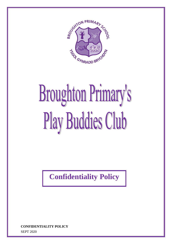

## **Broughton Primary's Play Buddies Club**

**Confidentiality Policy**

SEPT 2020 **CONFIDENTIALITY POLICY**